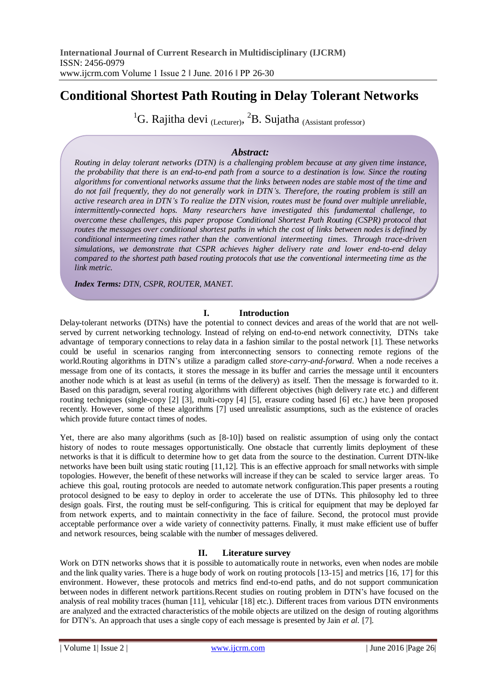# **Conditional Shortest Path Routing in Delay Tolerant Networks**

<sup>1</sup>G. Rajitha devi (Lecturer), <sup>2</sup>B. Sujatha (Assistant professor)

## *Abstract:*

*Routing in delay tolerant networks (DTN) is a challenging problem because at any given time instance, the probability that there is an end-to-end path from a source to a destination is low. Since the routing algorithms for conventional networks assume that the links between nodes are stable most of the time and do not fail frequently, they do not generally work in DTN's. Therefore, the routing problem is still an active research area in DTN's To realize the DTN vision, routes must be found over multiple unreliable, intermittently-connected hops. Many researchers have investigated this fundamental challenge, to overcome these challenges, this paper propose Conditional Shortest Path Routing (CSPR) protocol that routes the messages over conditional shortest paths in which the cost of links between nodes is defined by conditional intermeeting times rather than the conventional intermeeting times. Through trace-driven simulations, we demonstrate that CSPR achieves higher delivery rate and lower end-to-end delay compared to the shortest path based routing protocols that use the conventional intermeeting time as the link metric.*

*Index Terms: DTN, CSPR, ROUTER, MANET.*

## **I. Introduction**

Delay-tolerant networks (DTNs) have the potential to connect devices and areas of the world that are not wellserved by current networking technology. Instead of relying on end-to-end network connectivity, DTNs take advantage of temporary connections to relay data in a fashion similar to the postal network [1]. These networks could be useful in scenarios ranging from interconnecting sensors to connecting remote regions of the world.Routing algorithms in DTN's utilize a paradigm called *store-carry-and-forward*. When a node receives a message from one of its contacts, it stores the message in its buffer and carries the message until it encounters another node which is at least as useful (in terms of the delivery) as itself. Then the message is forwarded to it. Based on this paradigm, several routing algorithms with different objectives (high delivery rate etc.) and different routing techniques (single-copy [2] [3], multi-copy [4] [5], erasure coding based [6] etc.) have been proposed recently. However, some of these algorithms [7] used unrealistic assumptions, such as the existence of oracles which provide future contact times of nodes.

Yet, there are also many algorithms (such as [8-10]) based on realistic assumption of using only the contact history of nodes to route messages opportunistically. One obstacle that currently limits deployment of these networks is that it is difficult to determine how to get data from the source to the destination. Current DTN-like networks have been built using static routing [11,12]. This is an effective approach for small networks with simple topologies. However, the benefit of these networks will increase if they can be scaled to service larger areas. To achieve this goal, routing protocols are needed to automate network configuration.This paper presents a routing protocol designed to be easy to deploy in order to accelerate the use of DTNs. This philosophy led to three design goals. First, the routing must be self-configuring. This is critical for equipment that may be deployed far from network experts, and to maintain connectivity in the face of failure. Second, the protocol must provide acceptable performance over a wide variety of connectivity patterns. Finally, it must make efficient use of buffer and network resources, being scalable with the number of messages delivered.

## **II. Literature survey**

Work on DTN networks shows that it is possible to automatically route in networks, even when nodes are mobile and the link quality varies. There is a huge body of work on routing protocols [13-15] and metrics [16, 17] for this environment. However, these protocols and metrics find end-to-end paths, and do not support communication between nodes in different network partitions.Recent studies on routing problem in DTN's have focused on the analysis of real mobility traces (human [11], vehicular [18] etc.). Different traces from various DTN environments are analyzed and the extracted characteristics of the mobile objects are utilized on the design of routing algorithms for DTN's. An approach that uses a single copy of each message is presented by Jain *et al.* [7].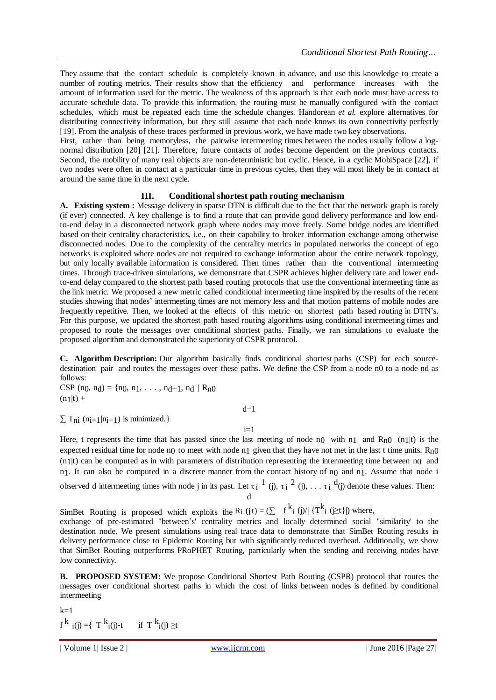They assume that the contact schedule is completely known in advance, and use this knowledge to create a number of routing metrics. Their results show that the efficiency and performance increases with the amount of information used for the metric. The weakness of this approach is that each node must have access to accurate schedule data. To provide this information, the routing must be manually configured with the contact schedules, which must be repeated each time the schedule changes. Handorean *et al.* explore alternatives for distributing connectivity information, but they still assume that each node knows its own connectivity perfectly [19]. From the analysis of these traces performed in previous work, we have made two key observations.

First, rather than being memoryless, the pairwise intermeeting times between the nodes usually follow a lognormal distribution [20] [21]. Therefore, future contacts of nodes become dependent on the previous contacts. Second, the mobility of many real objects are non-deterministic but cyclic. Hence, in a cyclic MobiSpace [22], if two nodes were often in contact at a particular time in previous cycles, then they will most likely be in contact at around the same time in the next cycle.

## **III. Conditional shortest path routing mechanism**

**A. Existing system :** Message delivery in sparse DTN is difficult due to the fact that the network graph is rarely (if ever) connected. A key challenge is to find a route that can provide good delivery performance and low endto-end delay in a disconnected network graph where nodes may move freely. Some bridge nodes are identified based on their centrality characteristics, i.e., on their capability to broker information exchange among otherwise disconnected nodes. Due to the complexity of the centrality metrics in populated networks the concept of ego networks is exploited where nodes are not required to exchange information about the entire network topology, but only locally available information is considered. Then times rather than the conventional intermeeting times. Through trace-driven simulations, we demonstrate that CSPR achieves higher delivery rate and lower endto-end delay compared to the shortest path based routing protocols that use the conventional intermeeting time as the link metric. We proposed a new metric called conditional intermeeting time inspired by the results of the recent studies showing that nodes' intermeeting times are not memory less and that motion patterns of mobile nodes are frequently repetitive. Then, we looked at the effects of this metric on shortest path based routing in DTN's. For this purpose, we updated the shortest path based routing algorithms using conditional intermeeting times and proposed to route the messages over conditional shortest paths. Finally, we ran simulations to evaluate the proposed algorithm and demonstrated the superiority of CSPR protocol.

**C. Algorithm Description:** Our algorithm basically finds conditional shortest paths (CSP) for each sourcedestination pair and routes the messages over these paths. We define the CSP from a node n0 to a node nd as follows:

CSP (n<sub>0</sub>, n<sub>d</sub>) = {n<sub>0</sub>, n<sub>1</sub>, ..., n<sub>d</sub>-1, n<sub>d</sub> | R<sub>n</sub><sub>0</sub>  $(n_1|t) +$ 

 $\sum T_{ni}$  (n<sub>i+1</sub>|n<sub>i</sub>-1) is minimized.}

d−1  $i=1$ 

Here, t represents the time that has passed since the last meeting of node n0 with n1 and  $R_{n0}$  (n1|t) is the expected residual time for node n<sub>0</sub> to meet with node n<sub>1</sub> given that they have not met in the last t time units. R<sub>n0</sub>  $(n_1|t)$  can be computed as in with parameters of distribution representing the intermeeting time between  $n_0$  and n<sub>1</sub>. It can also be computed in a discrete manner from the contact history of n<sub>0</sub> and n<sub>1</sub>. Assume that node i observed d intermeeting times with node j in its past. Let  $\tau_i$  <sup>1</sup> (j),  $\tau_i$  <sup>2</sup> (j), ...  $\tau_i$  <sup>d</sup>(j) denote these values. Then:

d

SimBet Routing is proposed which exploits the R<sub>i</sub> (j|t) =  $(\sum f^{k_i}$  (j)/| {T<sup>k</sup><sub>i</sub> ( $\geq$ t}|) where,

exchange of pre-estimated "between's' centrality metrics and locally determined social "similarity' to the destination node. We present simulations using real trace data to demonstrate that SimBet Routing results in delivery performance close to Epidemic Routing but with significantly reduced overhead. Additionally, we show that SimBet Routing outperforms PRoPHET Routing, particularly when the sending and receiving nodes have low connectivity.

**B. PROPOSED SYSTEM:** We propose Conditional Shortest Path Routing (CSPR) protocol that routes the messages over conditional shortest paths in which the cost of links between nodes is defined by conditional intermeeting

$$
\begin{aligned} & k{=}1\\ & f^k~i(j) {=} \{ ~T^k{}_i(j) {\text{-}}t~&\text{if}~T^k{}_i(j) \geq & t \end{aligned}
$$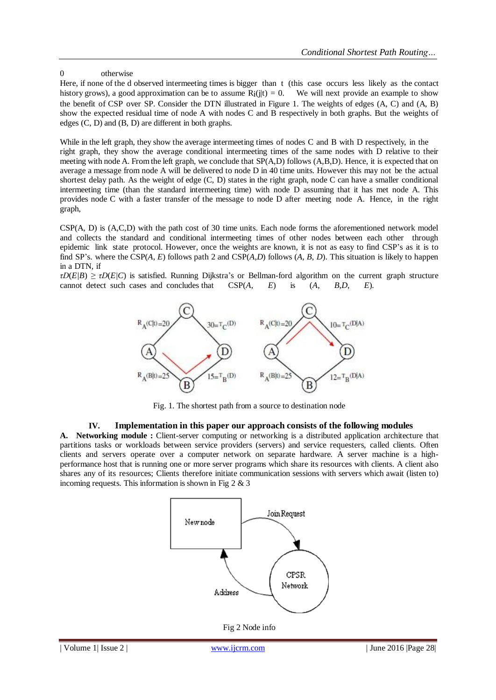### 0 otherwise

Here, if none of the d observed intermeeting times is bigger than t (this case occurs less likely as the contact history grows), a good approximation can be to assume  $R_i(i|t) = 0$ . We will next provide an example to show the benefit of CSP over SP. Consider the DTN illustrated in Figure 1. The weights of edges (A, C) and (A, B) show the expected residual time of node A with nodes C and B respectively in both graphs. But the weights of edges (C, D) and (B, D) are different in both graphs.

While in the left graph, they show the average intermeeting times of nodes C and B with D respectively, in the right graph, they show the average conditional intermeeting times of the same nodes with D relative to their meeting with node A. Fromthe left graph, we conclude that SP(A,D) follows (A,B,D). Hence, it is expected that on average a message from node A will be delivered to node D in 40 time units. However this may not be the actual shortest delay path. As the weight of edge (C, D) states in the right graph, node C can have a smaller conditional intermeeting time (than the standard intermeeting time) with node D assuming that it has met node A. This provides node C with a faster transfer of the message to node D after meeting node A. Hence, in the right graph,

CSP(A, D) is (A,C,D) with the path cost of 30 time units. Each node forms the aforementioned network model and collects the standard and conditional intermeeting times of other nodes between each other through epidemic link state protocol. However, once the weights are known, it is not as easy to find CSP's as it is to find SP's. where the CSP(*A*, *E*) follows path 2 and CSP(*A*,*D*) follows (*A*, *B*, *D*). This situation is likely to happen in a DTN, if

 $\tau D(E/B) \geq \tau D(E/C)$  is satisfied. Running Dijkstra's or Bellman-ford algorithm on the current graph structure cannot detect such cases and concludes that CSP(*A*, *E*) is (*A*, *B*,*D*, *E*).



Fig. 1. The shortest path from a source to destination node

#### **IV. Implementation in this paper our approach consists of the following modules**

**A. Networking module :** Client-server computing or networking is a distributed application architecture that partitions tasks or workloads between service providers (servers) and service requesters, called clients. Often clients and servers operate over a computer network on separate hardware. A server machine is a highperformance host that is running one or more server programs which share its resources with clients. A client also shares any of its resources; Clients therefore initiate communication sessions with servers which await (listen to) incoming requests. This information is shown in Fig  $2 \& 3$ 



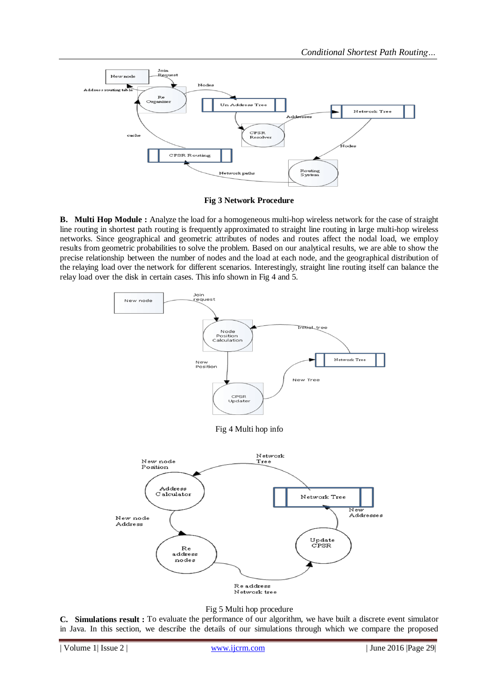

**Fig 3 Network Procedure**

**B. Multi Hop Module :** Analyze the load for a homogeneous multi-hop wireless network for the case of straight line routing in shortest path routing is frequently approximated to straight line routing in large multi-hop wireless networks. Since geographical and geometric attributes of nodes and routes affect the nodal load, we employ results from geometric probabilities to solve the problem. Based on our analytical results, we are able to show the precise relationship between the number of nodes and the load at each node, and the geographical distribution of the relaying load over the network for different scenarios. Interestingly, straight line routing itself can balance the relay load over the disk in certain cases. This info shown in Fig 4 and 5.





**C. Simulations result :** To evaluate the performance of our algorithm, we have built a discrete event simulator in Java. In this section, we describe the details of our simulations through which we compare the proposed